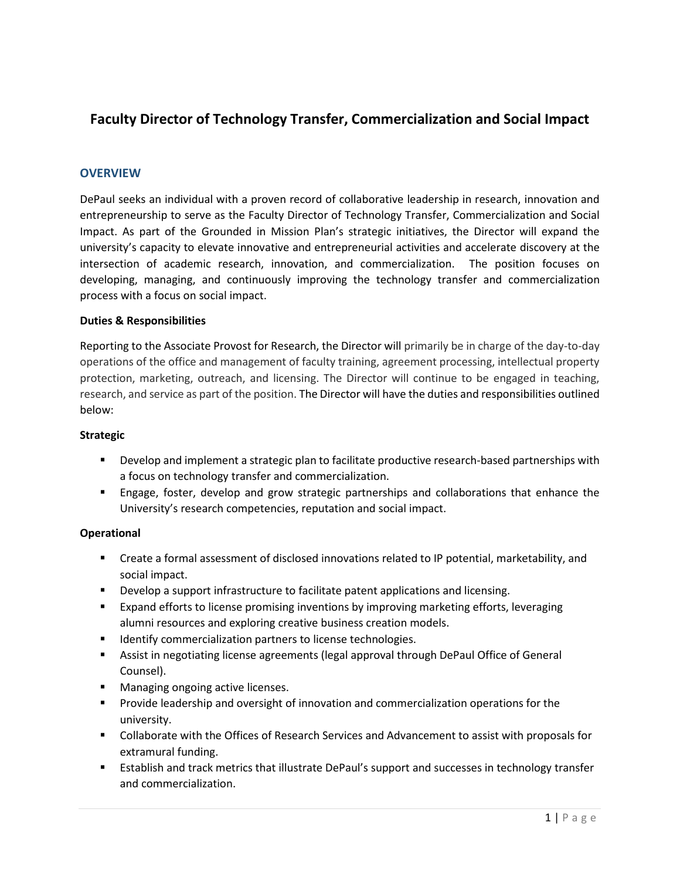# **Faculty Director of Technology Transfer, Commercialization and Social Impact**

## **OVERVIEW**

DePaul seeks an individual with a proven record of collaborative leadership in research, innovation and entrepreneurship to serve as the Faculty Director of Technology Transfer, Commercialization and Social Impact. As part of the Grounded in Mission Plan's strategic initiatives, the Director will expand the university's capacity to elevate innovative and entrepreneurial activities and accelerate discovery at the intersection of academic research, innovation, and commercialization. The position focuses on developing, managing, and continuously improving the technology transfer and commercialization process with a focus on social impact.

#### **Duties & Responsibilities**

Reporting to the Associate Provost for Research, the Director will primarily be in charge of the day-to-day operations of the office and management of faculty training, agreement processing, intellectual property protection, marketing, outreach, and licensing. The Director will continue to be engaged in teaching, research, and service as part of the position. The Director will have the duties and responsibilities outlined below:

#### **Strategic**

- Develop and implement a strategic plan to facilitate productive research-based partnerships with a focus on technology transfer and commercialization.
- Engage, foster, develop and grow strategic partnerships and collaborations that enhance the University's research competencies, reputation and social impact.

#### **Operational**

- Create a formal assessment of disclosed innovations related to IP potential, marketability, and social impact.
- **Develop a support infrastructure to facilitate patent applications and licensing.**
- Expand efforts to license promising inventions by improving marketing efforts, leveraging alumni resources and exploring creative business creation models.
- **IDENTIFY** commercialization partners to license technologies.
- Assist in negotiating license agreements (legal approval through DePaul Office of General Counsel).
- **Managing ongoing active licenses.**
- **Provide leadership and oversight of innovation and commercialization operations for the** university.
- Collaborate with the Offices of Research Services and Advancement to assist with proposals for extramural funding.
- **EXECT ESTABLISH** and track metrics that illustrate DePaul's support and successes in technology transfer and commercialization.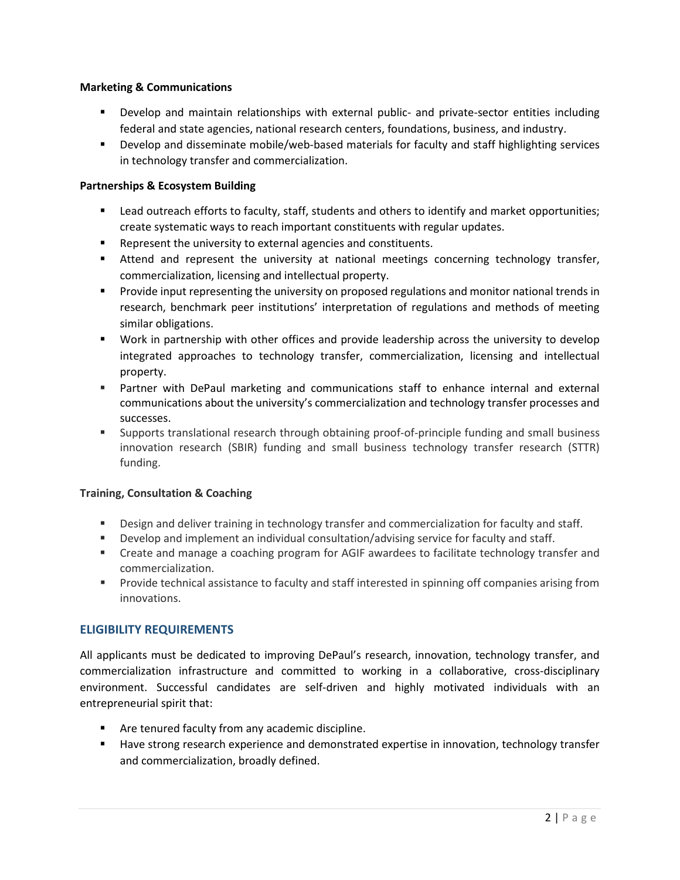### **Marketing & Communications**

- Develop and maintain relationships with external public- and private-sector entities including federal and state agencies, national research centers, foundations, business, and industry.
- Develop and disseminate mobile/web-based materials for faculty and staff highlighting services in technology transfer and commercialization.

## **Partnerships & Ecosystem Building**

- **EXECUTE:** Lead outreach efforts to faculty, staff, students and others to identify and market opportunities; create systematic ways to reach important constituents with regular updates.
- **Represent the university to external agencies and constituents.**
- Attend and represent the university at national meetings concerning technology transfer, commercialization, licensing and intellectual property.
- **Provide input representing the university on proposed regulations and monitor national trends in** research, benchmark peer institutions' interpretation of regulations and methods of meeting similar obligations.
- Work in partnership with other offices and provide leadership across the university to develop integrated approaches to technology transfer, commercialization, licensing and intellectual property.
- Partner with DePaul marketing and communications staff to enhance internal and external communications about the university's commercialization and technology transfer processes and successes.
- Supports translational research through obtaining proof-of-principle funding and small business innovation research (SBIR) funding and small business technology transfer research (STTR) funding.

#### **Training, Consultation & Coaching**

- **Design and deliver training in technology transfer and commercialization for faculty and staff.**
- Develop and implement an individual consultation/advising service for faculty and staff.
- **EXECT** Create and manage a coaching program for AGIF awardees to facilitate technology transfer and commercialization.
- **Provide technical assistance to faculty and staff interested in spinning off companies arising from** innovations.

# **ELIGIBILITY REQUIREMENTS**

All applicants must be dedicated to improving DePaul's research, innovation, technology transfer, and commercialization infrastructure and committed to working in a collaborative, cross-disciplinary environment. Successful candidates are self-driven and highly motivated individuals with an entrepreneurial spirit that:

- **EXTENUTE:** Are tenured faculty from any academic discipline.
- Have strong research experience and demonstrated expertise in innovation, technology transfer and commercialization, broadly defined.